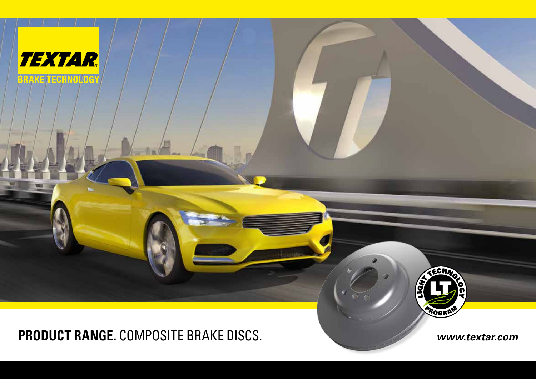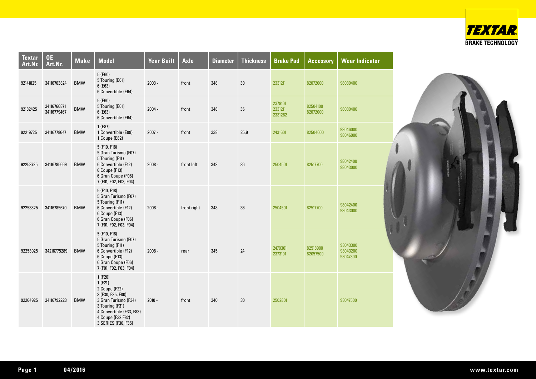

| <b>Textar</b><br>Art.Nr. | <b>OE</b><br>Art.Nr.       | <b>Make</b> | <b>Model</b>                                                                                                                                                              | <b>Year Built</b> | <b>Axle</b> | <b>Diameter</b> | <b>Thickness</b> | <b>Brake Pad</b>              | <b>Accessory</b>     | <b>Wear Indicator</b>            |
|--------------------------|----------------------------|-------------|---------------------------------------------------------------------------------------------------------------------------------------------------------------------------|-------------------|-------------|-----------------|------------------|-------------------------------|----------------------|----------------------------------|
| 92141825                 | 34116763824                | <b>BMW</b>  | 5(E60)<br>5 Touring (E61)<br>6(E63)<br>6 Convertible (E64)                                                                                                                | $2003 -$          | front       | 348             | 30               | 2331211                       | 82072000             | 98030400                         |
| 92182425                 | 34116766871<br>34116779467 | <b>BMW</b>  | 5 (E60)<br>5 Touring (E61)<br>6(E63)<br>6 Convertible (E64)                                                                                                               | $2004 -$          | front       | 348             | $36\,$           | 2379101<br>2331211<br>2331282 | 82504100<br>82072000 | 98030400                         |
| 92219725                 | 34116778647                | <b>BMW</b>  | 1(E87)<br>1 Convertible (E88)<br>1 Coupe (E82)                                                                                                                            | $2007 -$          | front       | 338             | 25,9             | 2431601                       | 82504600             | 98046000<br>98046900             |
| 92253725                 | 34116785669                | <b>BMW</b>  | 5 (F10, F18)<br>5 Gran Turismo (F07)<br>5 Touring (F11)<br>6 Convertible (F12)<br>6 Coupe (F13)<br>6 Gran Coupe (F06)<br>7 (F01, F02, F03, F04)                           | $2008 -$          | front left  | 348             | 36               | 2504501                       | 82517700             | 98042400<br>98043000             |
| 92253825                 | 34116785670                | <b>BMW</b>  | 5 (F10, F18)<br>5 Gran Turismo (F07)<br>5 Touring (F11)<br>6 Convertible (F12)<br>6 Coupe (F13)<br>6 Gran Coupe (F06)<br>7 (F01, F02, F03, F04)                           | $2008 -$          | front right | 348             | 36               | 2504501                       | 82517700             | 98042400<br>98043000             |
| 92253925                 | 34216775289                | <b>BMW</b>  | 5 (F10, F18)<br>5 Gran Turismo (F07)<br>5 Touring (F11)<br>6 Convertible (F12)<br>6 Coupe (F13)<br>6 Gran Coupe (F06)<br>7 (F01, F02, F03, F04)                           | $2008 -$          | rear        | 345             | 24               | 2470301<br>2373101            | 82518900<br>82057500 | 98043300<br>98043200<br>98047300 |
| 92264925                 | 34116792223                | <b>BMW</b>  | 1(F20)<br>1(F21)<br>2 Coupe (F22)<br>3 (F30, F35, F80)<br>3 Gran Turismo (F34)<br>3 Touring (F31)<br>4 Convertible (F33, F83)<br>4 Coupe (F32 F82)<br>3 SERIES (F30, F35) | $2010 -$          | front       | 340             | 30               | 2502801                       |                      | 98047500                         |

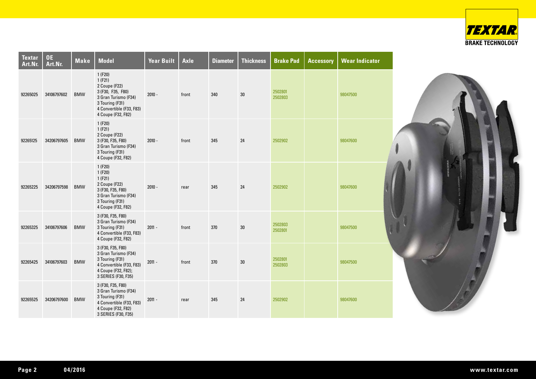

| <b>Textar</b><br>Art.Nr. | OE<br>Art.Nr. | <b>Make</b> | <b>Model</b>                                                                                                                                        | <b>Year Built</b> | <b>Axle</b> | <b>Diameter</b> | <b>Thickness</b> | <b>Brake Pad</b>   | <b>Accessory</b> | <b>Wear Indicator</b> |
|--------------------------|---------------|-------------|-----------------------------------------------------------------------------------------------------------------------------------------------------|-------------------|-------------|-----------------|------------------|--------------------|------------------|-----------------------|
| 92265025                 | 34106797602   | <b>BMW</b>  | 1(F20)<br>1(F21)<br>2 Coupe (F22)<br>3 (F30, F35, F80)<br>3 Gran Turismo (F34)<br>3 Touring (F31)<br>4 Convertible (F33, F83)<br>4 Coupe (F32, F82) | $2010 -$          | front       | 340             | 30               | 2502801<br>2502803 |                  | 98047500              |
| 92265125                 | 34206797605   | <b>BMW</b>  | 1(F20)<br>1(F21)<br>2 Coupe (F22)<br>3 (F30, F35, F80)<br>3 Gran Turismo (F34)<br>3 Touring (F31)<br>4 Coupe (F32, F82)                             | $2010 -$          | front       | 345             | 24               | 2502902            |                  | 98047600              |
| 92265225                 | 34206797598   | <b>BMW</b>  | 1(F20)<br>1(F20)<br>1(F21)<br>2 Coupe (F22)<br>3 (F30, F35, F80)<br>3 Gran Turismo (F34)<br>3 Touring (F31)<br>4 Coupe (F32, F82)                   | $2010 -$          | rear        | 345             | 24               | 2502902            |                  | 98047600              |
| 92265325                 | 34106797606   | <b>BMW</b>  | 3 (F30, F35, F80)<br>3 Gran Turismo (F34)<br>3 Touring (F31)<br>4 Convertible (F33, F83)<br>4 Coupe (F32, F82)                                      | $2011 -$          | front       | 370             | 30               | 2502803<br>2502801 |                  | 98047500              |
| 92265425                 | 34106797603   | <b>BMW</b>  | 3 (F30, F35, F80)<br>3 Gran Turismo (F34)<br>3 Touring (F31)<br>4 Convertible (F33, F83)<br>4 Coupe (F32, F82);<br>3 SERIES (F30, F35)              | $2011 -$          | front       | 370             | 30               | 2502801<br>2502803 |                  | 98047500              |
| 92265525                 | 34206797600   | <b>BMW</b>  | 3 (F30, F35, F80)<br>3 Gran Turismo (F34)<br>3 Touring (F31)<br>4 Convertible (F33, F83)<br>4 Coupe (F32, F82)<br>3 SERIES (F30, F35)               | $2011 -$          | rear        | 345             | 24               | 2502902            |                  | 98047600              |

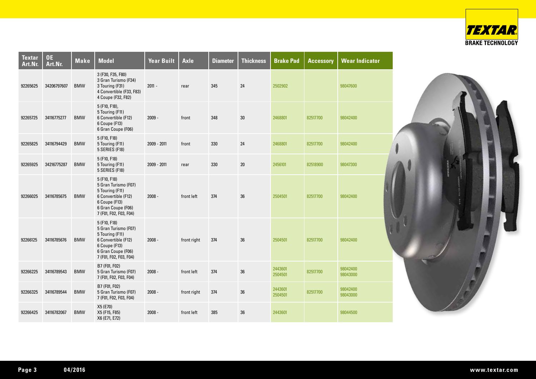

| <b>Textar</b><br>Art.Nr. | <b>OE</b><br>Art.Nr. | <b>Make</b> | <b>Model</b>                                                                                                                                    | <b>Year Built</b> | <b>Axle</b> | <b>Diameter</b> | <b>Thickness</b> | <b>Brake Pad</b>   | <b>Accessory</b> | <b>Wear Indicator</b> |
|--------------------------|----------------------|-------------|-------------------------------------------------------------------------------------------------------------------------------------------------|-------------------|-------------|-----------------|------------------|--------------------|------------------|-----------------------|
| 92265625                 | 34206797607          | <b>BMW</b>  | 3 (F30, F35, F80)<br>3 Gran Turismo (F34)<br>3 Touring (F31)<br>4 Convertible (F33, F83)<br>4 Coupe (F32, F82)                                  | $2011 -$          | rear        | 345             | 24               | 2502902            |                  | 98047600              |
| 92265725                 | 34116775277          | <b>BMW</b>  | 5 (F10, F18),<br>5 Touring (F11)<br>6 Convertible (F12)<br>6 Coupe (F13)<br>6 Gran Coupe (F06)                                                  | $2009 -$          | front       | 348             | 30               | 2468801            | 82517700         | 98042400              |
| 92265825                 | 34116794429          | <b>BMW</b>  | 5 (F10, F18)<br>5 Touring (F11)<br>5 SERIES (F18)                                                                                               | 2009 - 2011       | front       | 330             | 24               | 2468801            | 82517700         | 98042400              |
| 92265925                 | 34216775287          | <b>BMW</b>  | 5 (F10, F18)<br>5 Touring (F11)<br>5 SERIES (F18)                                                                                               | 2009 - 2011       | rear        | 330             | 20               | 2456101            | 82518900         | 98047300              |
| 92266025                 | 34116785675          | <b>BMW</b>  | 5 (F10, F18)<br>5 Gran Turismo (F07)<br>5 Touring (F11)<br>6 Convertible (F12)<br>6 Coupe (F13)<br>6 Gran Coupe (F06)<br>7 (F01, F02, F03, F04) | $2008 -$          | front left  | 374             | 36               | 2504501            | 82517700         | 98042400              |
| 92266125                 | 34116785676          | <b>BMW</b>  | 5 (F10, F18)<br>5 Gran Turismo (F07)<br>5 Touring (F11)<br>6 Convertible (F12)<br>6 Coupe (F13)<br>6 Gran Coupe (F06)<br>7 (F01, F02, F03, F04) | $2008 -$          | front right | 374             | 36               | 2504501            | 82517700         | 98042400              |
| 92266225                 | 34116789543          | <b>BMW</b>  | B7 (F01, F02)<br>5 Gran Turismo (F07)<br>7 (F01, F02, F03, F04)                                                                                 | $2008 -$          | front left  | 374             | 36               | 2443601<br>2504501 | 82517700         | 98042400<br>98043000  |
| 92266325                 | 34116789544          | <b>BMW</b>  | B7 (F01, F02)<br>5 Gran Turismo (F07)<br>7 (F01, F02, F03, F04)                                                                                 | $2008 -$          | front right | 374             | 36               | 2443601<br>2504501 | 82517700         | 98042400<br>98043000  |
| 92266425                 | 34116782067          | <b>BMW</b>  | X5 (E70)<br>X5 (F15, F85)<br>X6 (E71, E72)                                                                                                      | $2008 -$          | front left  | 385             | 36               | 2443601            |                  | 98044500              |